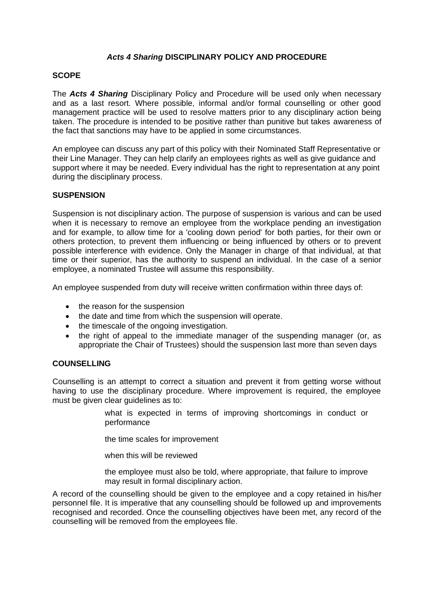# *Acts 4 Sharing* **DISCIPLINARY POLICY AND PROCEDURE**

# **SCOPE**

The *Acts 4 Sharing* Disciplinary Policy and Procedure will be used only when necessary and as a last resort. Where possible, informal and/or formal counselling or other good management practice will be used to resolve matters prior to any disciplinary action being taken. The procedure is intended to be positive rather than punitive but takes awareness of the fact that sanctions may have to be applied in some circumstances.

An employee can discuss any part of this policy with their Nominated Staff Representative or their Line Manager. They can help clarify an employees rights as well as give guidance and support where it may be needed. Every individual has the right to representation at any point during the disciplinary process.

## **SUSPENSION**

Suspension is not disciplinary action. The purpose of suspension is various and can be used when it is necessary to remove an employee from the workplace pending an investigation and for example, to allow time for a 'cooling down period' for both parties, for their own or others protection, to prevent them influencing or being influenced by others or to prevent possible interference with evidence. Only the Manager in charge of that individual, at that time or their superior, has the authority to suspend an individual. In the case of a senior employee, a nominated Trustee will assume this responsibility.

An employee suspended from duty will receive written confirmation within three days of:

- the reason for the suspension
- the date and time from which the suspension will operate.
- the timescale of the ongoing investigation.
- the right of appeal to the immediate manager of the suspending manager (or, as appropriate the Chair of Trustees) should the suspension last more than seven days

# **COUNSELLING**

Counselling is an attempt to correct a situation and prevent it from getting worse without having to use the disciplinary procedure. Where improvement is required, the employee must be given clear guidelines as to:

> what is expected in terms of improving shortcomings in conduct or performance

the time scales for improvement

when this will be reviewed

the employee must also be told, where appropriate, that failure to improve may result in formal disciplinary action.

A record of the counselling should be given to the employee and a copy retained in his/her personnel file. It is imperative that any counselling should be followed up and improvements recognised and recorded. Once the counselling objectives have been met, any record of the counselling will be removed from the employees file.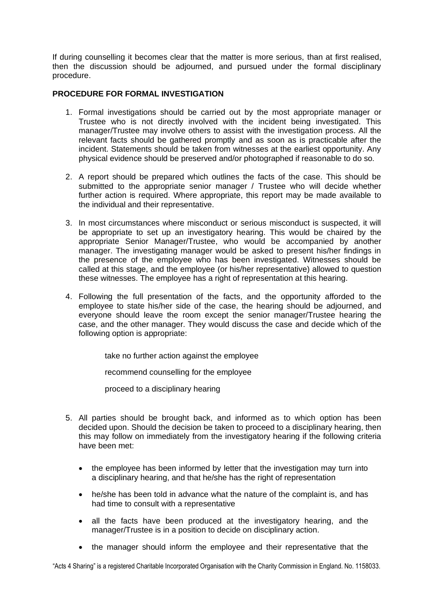If during counselling it becomes clear that the matter is more serious, than at first realised, then the discussion should be adjourned, and pursued under the formal disciplinary procedure.

# **PROCEDURE FOR FORMAL INVESTIGATION**

- 1. Formal investigations should be carried out by the most appropriate manager or Trustee who is not directly involved with the incident being investigated. This manager/Trustee may involve others to assist with the investigation process. All the relevant facts should be gathered promptly and as soon as is practicable after the incident. Statements should be taken from witnesses at the earliest opportunity. Any physical evidence should be preserved and/or photographed if reasonable to do so.
- 2. A report should be prepared which outlines the facts of the case. This should be submitted to the appropriate senior manager / Trustee who will decide whether further action is required. Where appropriate, this report may be made available to the individual and their representative.
- 3. In most circumstances where misconduct or serious misconduct is suspected, it will be appropriate to set up an investigatory hearing. This would be chaired by the appropriate Senior Manager/Trustee, who would be accompanied by another manager. The investigating manager would be asked to present his/her findings in the presence of the employee who has been investigated. Witnesses should be called at this stage, and the employee (or his/her representative) allowed to question these witnesses. The employee has a right of representation at this hearing.
- 4. Following the full presentation of the facts, and the opportunity afforded to the employee to state his/her side of the case, the hearing should be adjourned, and everyone should leave the room except the senior manager/Trustee hearing the case, and the other manager. They would discuss the case and decide which of the following option is appropriate:

take no further action against the employee

recommend counselling for the employee

proceed to a disciplinary hearing

- 5. All parties should be brought back, and informed as to which option has been decided upon. Should the decision be taken to proceed to a disciplinary hearing, then this may follow on immediately from the investigatory hearing if the following criteria have been met:
	- the employee has been informed by letter that the investigation may turn into a disciplinary hearing, and that he/she has the right of representation
	- he/she has been told in advance what the nature of the complaint is, and has had time to consult with a representative
	- all the facts have been produced at the investigatory hearing, and the manager/Trustee is in a position to decide on disciplinary action.
	- the manager should inform the employee and their representative that the

"Acts 4 Sharing" is a registered Charitable Incorporated Organisation with the Charity Commission in England. No. 1158033.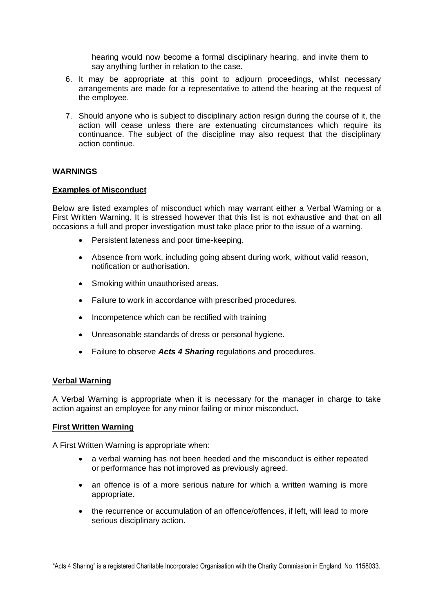hearing would now become a formal disciplinary hearing, and invite them to say anything further in relation to the case.

- 6. It may be appropriate at this point to adjourn proceedings, whilst necessary arrangements are made for a representative to attend the hearing at the request of the employee.
- 7. Should anyone who is subject to disciplinary action resign during the course of it, the action will cease unless there are extenuating circumstances which require its continuance. The subject of the discipline may also request that the disciplinary action continue.

# **WARNINGS**

## **Examples of Misconduct**

Below are listed examples of misconduct which may warrant either a Verbal Warning or a First Written Warning. It is stressed however that this list is not exhaustive and that on all occasions a full and proper investigation must take place prior to the issue of a warning.

- Persistent lateness and poor time-keeping.
- Absence from work, including going absent during work, without valid reason, notification or authorisation.
- Smoking within unauthorised areas.
- Failure to work in accordance with prescribed procedures.
- Incompetence which can be rectified with training
- Unreasonable standards of dress or personal hygiene.
- Failure to observe *Acts 4 Sharing* regulations and procedures.

#### **Verbal Warning**

A Verbal Warning is appropriate when it is necessary for the manager in charge to take action against an employee for any minor failing or minor misconduct.

#### **First Written Warning**

A First Written Warning is appropriate when:

- a verbal warning has not been heeded and the misconduct is either repeated or performance has not improved as previously agreed.
- an offence is of a more serious nature for which a written warning is more appropriate.
- the recurrence or accumulation of an offence/offences, if left, will lead to more serious disciplinary action.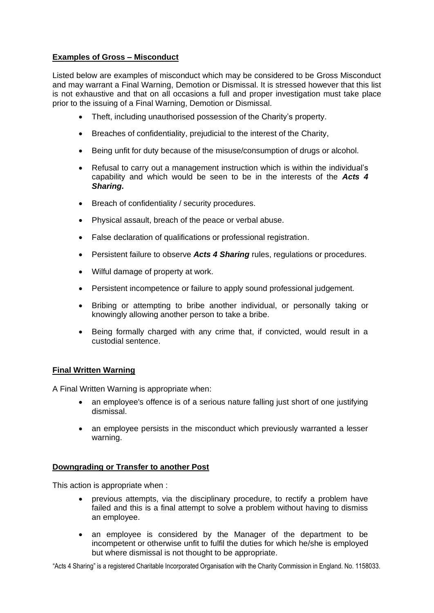# **Examples of Gross – Misconduct**

Listed below are examples of misconduct which may be considered to be Gross Misconduct and may warrant a Final Warning, Demotion or Dismissal. It is stressed however that this list is not exhaustive and that on all occasions a full and proper investigation must take place prior to the issuing of a Final Warning, Demotion or Dismissal.

- Theft, including unauthorised possession of the Charity's property.
- Breaches of confidentiality, prejudicial to the interest of the Charity,
- Being unfit for duty because of the misuse/consumption of drugs or alcohol.
- Refusal to carry out a management instruction which is within the individual's capability and which would be seen to be in the interests of the *Acts 4 Sharing.*
- Breach of confidentiality / security procedures.
- Physical assault, breach of the peace or verbal abuse.
- False declaration of qualifications or professional registration.
- Persistent failure to observe *Acts 4 Sharing* rules, regulations or procedures.
- Wilful damage of property at work.
- Persistent incompetence or failure to apply sound professional judgement.
- Bribing or attempting to bribe another individual, or personally taking or knowingly allowing another person to take a bribe.
- Being formally charged with any crime that, if convicted, would result in a custodial sentence.

# **Final Written Warning**

A Final Written Warning is appropriate when:

- an employee's offence is of a serious nature falling just short of one justifying dismissal.
- an employee persists in the misconduct which previously warranted a lesser warning.

# **Downgrading or Transfer to another Post**

This action is appropriate when :

- previous attempts, via the disciplinary procedure, to rectify a problem have failed and this is a final attempt to solve a problem without having to dismiss an employee.
- an employee is considered by the Manager of the department to be incompetent or otherwise unfit to fulfil the duties for which he/she is employed but where dismissal is not thought to be appropriate.

"Acts 4 Sharing" is a registered Charitable Incorporated Organisation with the Charity Commission in England. No. 1158033.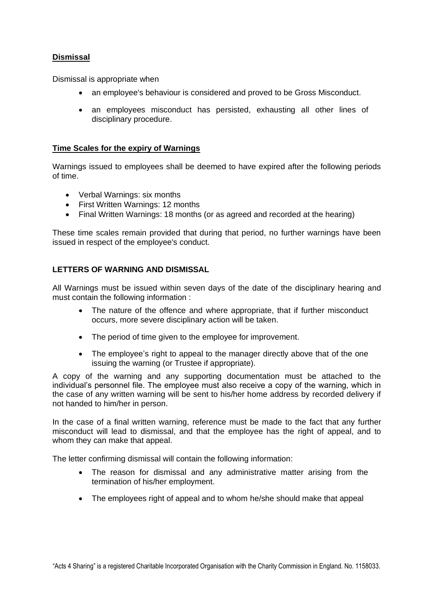# **Dismissal**

Dismissal is appropriate when

- an employee's behaviour is considered and proved to be Gross Misconduct.
- an employees misconduct has persisted, exhausting all other lines of disciplinary procedure.

# **Time Scales for the expiry of Warnings**

Warnings issued to employees shall be deemed to have expired after the following periods of time.

- Verbal Warnings: six months
- First Written Warnings: 12 months
- Final Written Warnings: 18 months (or as agreed and recorded at the hearing)

These time scales remain provided that during that period, no further warnings have been issued in respect of the employee's conduct.

# **LETTERS OF WARNING AND DISMISSAL**

All Warnings must be issued within seven days of the date of the disciplinary hearing and must contain the following information :

- The nature of the offence and where appropriate, that if further misconduct occurs, more severe disciplinary action will be taken.
- The period of time given to the employee for improvement.
- The employee's right to appeal to the manager directly above that of the one issuing the warning (or Trustee if appropriate).

A copy of the warning and any supporting documentation must be attached to the individual's personnel file. The employee must also receive a copy of the warning, which in the case of any written warning will be sent to his/her home address by recorded delivery if not handed to him/her in person.

In the case of a final written warning, reference must be made to the fact that any further misconduct will lead to dismissal, and that the employee has the right of appeal, and to whom they can make that appeal.

The letter confirming dismissal will contain the following information:

- The reason for dismissal and any administrative matter arising from the termination of his/her employment.
- The employees right of appeal and to whom he/she should make that appeal